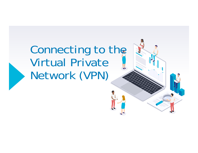### Connecting to the Virtual Private Network (VPN)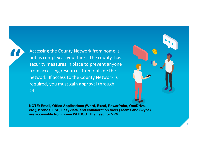Accessing the County Network from home is not as complex as you think. The county has security measures in place to prevent anyone from accessing resources from outside the network. If access to the County Network is required, you must gain approval through OIT.

**"**



**NOTE: Email, Office Applications (Word, Excel, PowerPoint, OneDrive, etc.), Kronos, ESS, EasyVista, and collaboration tools (Teams and Skype) are accessible from home WITHOUT the need for VPN.**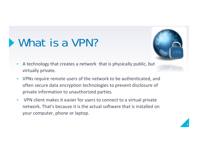### What is a VPN?



- ▸ A technology that creates a network that is physically public, but virtually private.
- ▸ VPNs require remote users of the network to be authenticated, and often secure data encryption technologies to prevent disclosure of private information to unauthorized parties.
- ▸ VPN client makes it easier for users to connect to a virtual private network. That's because it is the actual software that is installed on your computer, phone or laptop.

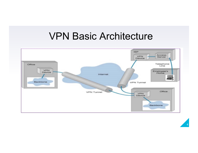#### VPN Basic Architecture

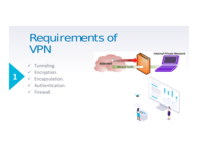#### Requirements of VPN

 $\checkmark$ Tunneling.

- $\checkmark$ Encryption.
- $\checkmark$ Encapsulation.
- $\checkmark$ Authentication.
- $\checkmark$ Firewall.

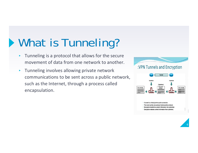### **What is Tunneling?**

- ▸ Tunneling is a protocol that allows for the secure movement of data from one network to another.
- ▸ Tunneling involves allowing private network communications to be sent across a public network, such as the Internet, through a process called encapsulation.



· Decryption restores content information from ciphertext.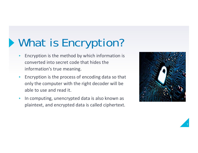## What is Encryption?

- ▸ Encryption is the method by which information is converted into secret code that hides the information's true meaning.
- ▸ Encryption is the process of encoding data so that only the computer with the right decoder will be able to use and read it.
- ▸ In computing, unencrypted data is also known as plaintext, and encrypted data is called ciphertext.



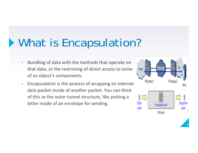### What is Encapsulation?

- ▸ Bundling of data with the methods that operate on that data, or the restricting of direct access to some of an object's components.
- ▸ Encapsulation is the process of wrapping an internet data packet inside of another packet. You can think of this as the outer tunnel structure, like putting a letter inside of an envelope for sending.

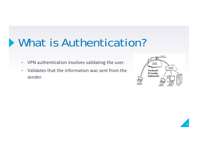### What is Authentication?

- ▸VPN authentication involves validating the user.
- ▸ Validates that the information was sent from the sender.



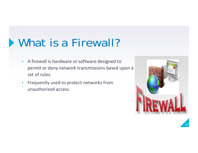### What is a Firewall?

- ▸ A firewall is hardware or software designed to permit or deny network transmissions based upon a set of rules.
- ▸ Frequently used to protect networks from unauthorized access.



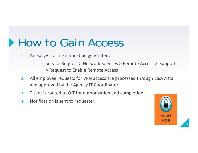#### **How to Gain Access**

- 1. An EasyVista Ticket must be generated:
	- ▹ Service Request > Network Services > Remote Access > Support > Request to Enable Remote Access
- 2. All employee requests for VPN access are processed through EasyVista and approved by the Agency IT Coordinator.
- 3.Ticket is routed to OIT for authorization and completion.
- 4.Notification is sent to requester.

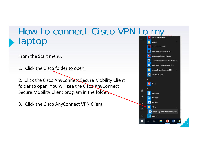#### How to connect Cisco VPN to my laptop Adobe

From the Start menu:

1. Click the Cisco folder to open.

2. Click the Cisco AnyConnect Secure Mobility Client folder to open. You will see the Cisco AnyConnect Secure Mobility Client program in the folder.

3. Click the Cisco AnyConnect VPN Client.

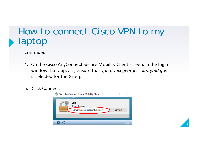#### How to connect Cisco VPN to my laptop

Continued

- 4. On the Cisco AnyConnect Secure Mobility Client screen, in the login window that appears, ensure that *vpn.princegeorgescountymd.gov*  is selected for the Group.
- 5. Click Connect.



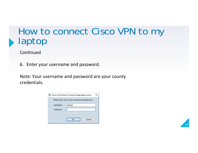#### How to connect Cisco VPN to my laptop

Continued

6. Enter your username and password.

Note: Your username and password are your county credentials.

|           | Cisco AnyConnect   vpn.princegeorgescounty      |  |
|-----------|-------------------------------------------------|--|
|           | Please enter your county username and password. |  |
| Username: | Selongs                                         |  |
| Password: |                                                 |  |
|           |                                                 |  |
|           | Cancel<br>OK                                    |  |
|           |                                                 |  |

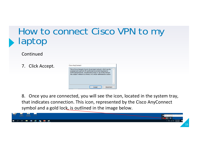#### How to connect Cisco VPN to my laptop

Continued

7. Click Accept.

|  | accessed and used only for authorized Goverment business by | This is Prince George's County Government network, which may be<br>authorized personnel. Unauthorized access or use of this network |  |
|--|-------------------------------------------------------------|-------------------------------------------------------------------------------------------------------------------------------------|--|
|  |                                                             | may subject violators to criminal, civil, and/or administrative action.                                                             |  |
|  |                                                             |                                                                                                                                     |  |
|  |                                                             |                                                                                                                                     |  |
|  |                                                             |                                                                                                                                     |  |

8. Once you are connected, you will see the icon, located in the system tray, that indicates connection. This icon, represented by the Cisco AnyConnect symbol and a gold lock, is outlined in the image below.